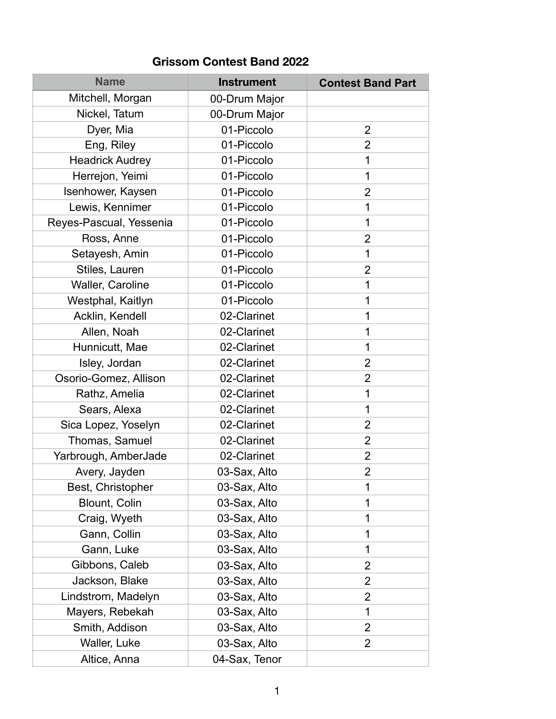## **Grissom Contest Band 2022**

| <b>Name</b>             | <b>Instrument</b> | <b>Contest Band Part</b> |
|-------------------------|-------------------|--------------------------|
| Mitchell, Morgan        | 00-Drum Major     |                          |
| Nickel, Tatum           | 00-Drum Major     |                          |
| Dyer, Mia               | 01-Piccolo        | $\overline{2}$           |
| Eng, Riley              | 01-Piccolo        | 2                        |
| <b>Headrick Audrey</b>  | 01-Piccolo        | 1                        |
| Herrejon, Yeimi         | 01-Piccolo        | 1                        |
| Isenhower, Kaysen       | 01-Piccolo        | $\overline{2}$           |
| Lewis, Kennimer         | 01-Piccolo        | 1                        |
| Reyes-Pascual, Yessenia | 01-Piccolo        | 1                        |
| Ross, Anne              | 01-Piccolo        | $\overline{2}$           |
| Setayesh, Amin          | 01-Piccolo        | 1                        |
| Stiles, Lauren          | 01-Piccolo        | $\overline{2}$           |
| Waller, Caroline        | 01-Piccolo        | 1                        |
| Westphal, Kaitlyn       | 01-Piccolo        | 1                        |
| Acklin, Kendell         | 02-Clarinet       | 1                        |
| Allen, Noah             | 02-Clarinet       | 1                        |
| Hunnicutt, Mae          | 02-Clarinet       | 1                        |
| Isley, Jordan           | 02-Clarinet       | 2                        |
| Osorio-Gomez, Allison   | 02-Clarinet       | $\overline{2}$           |
| Rathz, Amelia           | 02-Clarinet       | 1                        |
| Sears, Alexa            | 02-Clarinet       | 1                        |
| Sica Lopez, Yoselyn     | 02-Clarinet       | $\overline{2}$           |
| Thomas, Samuel          | 02-Clarinet       | $\overline{2}$           |
| Yarbrough, AmberJade    | 02-Clarinet       | $\overline{2}$           |
| Avery, Jayden           | 03-Sax, Alto      | 2                        |
| Best, Christopher       | 03-Sax, Alto      | 1                        |
| Blount, Colin           | 03-Sax, Alto      | 1                        |
| Craig, Wyeth            | 03-Sax, Alto      | 1                        |
| Gann, Collin            | 03-Sax, Alto      | 1                        |
| Gann, Luke              | 03-Sax, Alto      | 1                        |
| Gibbons, Caleb          | 03-Sax, Alto      | 2                        |
| Jackson, Blake          | 03-Sax, Alto      | 2                        |
| Lindstrom, Madelyn      | 03-Sax, Alto      | $\overline{2}$           |
| Mayers, Rebekah         | 03-Sax, Alto      | 1                        |
| Smith, Addison          | 03-Sax, Alto      | $\overline{2}$           |
| Waller, Luke            | 03-Sax, Alto      | $\overline{2}$           |
| Altice, Anna            | 04-Sax, Tenor     |                          |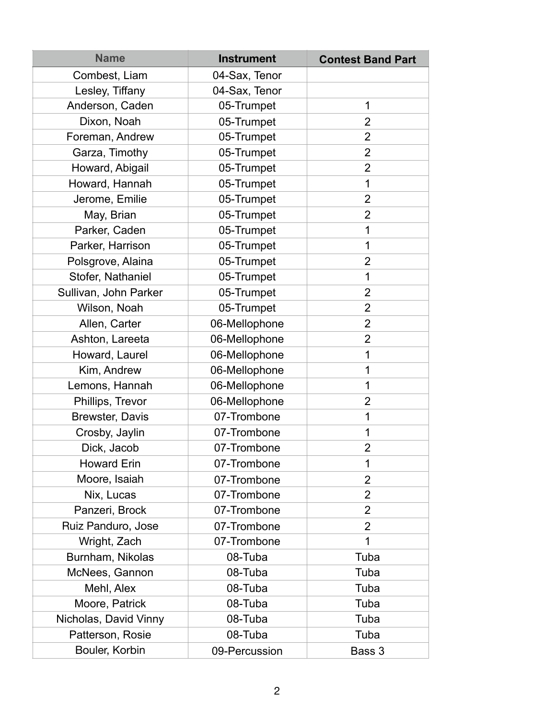| <b>Name</b>           | <b>Instrument</b> | <b>Contest Band Part</b> |
|-----------------------|-------------------|--------------------------|
| Combest, Liam         | 04-Sax, Tenor     |                          |
| Lesley, Tiffany       | 04-Sax, Tenor     |                          |
| Anderson, Caden       | 05-Trumpet        | 1                        |
| Dixon, Noah           | 05-Trumpet        | $\overline{2}$           |
| Foreman, Andrew       | 05-Trumpet        | $\overline{2}$           |
| Garza, Timothy        | 05-Trumpet        | $\overline{2}$           |
| Howard, Abigail       | 05-Trumpet        | $\overline{2}$           |
| Howard, Hannah        | 05-Trumpet        | 1                        |
| Jerome, Emilie        | 05-Trumpet        | $\overline{2}$           |
| May, Brian            | 05-Trumpet        | $\overline{2}$           |
| Parker, Caden         | 05-Trumpet        | 1                        |
| Parker, Harrison      | 05-Trumpet        | 1                        |
| Polsgrove, Alaina     | 05-Trumpet        | $\overline{2}$           |
| Stofer, Nathaniel     | 05-Trumpet        | 1                        |
| Sullivan, John Parker | 05-Trumpet        | $\overline{2}$           |
| Wilson, Noah          | 05-Trumpet        | $\overline{2}$           |
| Allen, Carter         | 06-Mellophone     | $\overline{2}$           |
| Ashton, Lareeta       | 06-Mellophone     | $\overline{2}$           |
| Howard, Laurel        | 06-Mellophone     | 1                        |
| Kim, Andrew           | 06-Mellophone     | 1                        |
| Lemons, Hannah        | 06-Mellophone     | 1                        |
| Phillips, Trevor      | 06-Mellophone     | $\overline{2}$           |
| Brewster, Davis       | 07-Trombone       | 1                        |
| Crosby, Jaylin        | 07-Trombone       | 1                        |
| Dick, Jacob           | 07-Trombone       | $\overline{2}$           |
| <b>Howard Erin</b>    | 07-Trombone       | 1                        |
| Moore, Isaiah         | 07-Trombone       | $\overline{2}$           |
| Nix, Lucas            | 07-Trombone       | $\overline{2}$           |
| Panzeri, Brock        | 07-Trombone       | $\overline{2}$           |
| Ruiz Panduro, Jose    | 07-Trombone       | $\overline{2}$           |
| Wright, Zach          | 07-Trombone       | 1                        |
| Burnham, Nikolas      | 08-Tuba           | Tuba                     |
| McNees, Gannon        | 08-Tuba           | Tuba                     |
| Mehl, Alex            | 08-Tuba           | Tuba                     |
| Moore, Patrick        | 08-Tuba           | Tuba                     |
| Nicholas, David Vinny | 08-Tuba           | Tuba                     |
| Patterson, Rosie      | 08-Tuba           | Tuba                     |
| Bouler, Korbin        | 09-Percussion     | Bass 3                   |